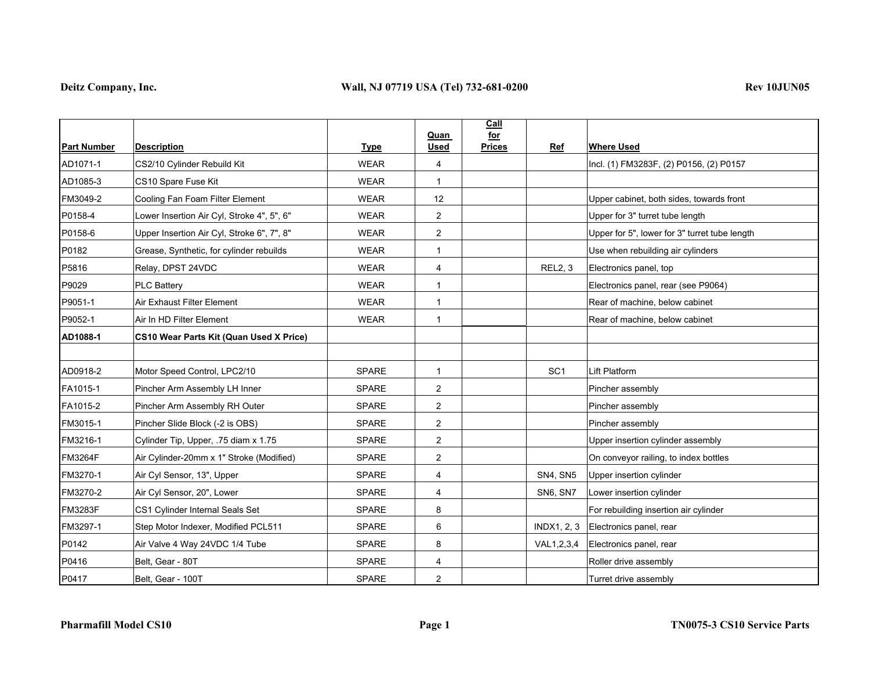|                    |                                            |              | <b>Quan</b>    | Call<br>for   |                    |                                               |
|--------------------|--------------------------------------------|--------------|----------------|---------------|--------------------|-----------------------------------------------|
| <b>Part Number</b> | <b>Description</b>                         | <b>Type</b>  | <b>Used</b>    | <b>Prices</b> | Ref                | <b>Where Used</b>                             |
| AD1071-1           | CS2/10 Cylinder Rebuild Kit                | <b>WEAR</b>  | 4              |               |                    | Incl. (1) FM3283F, (2) P0156, (2) P0157       |
| AD1085-3           | CS10 Spare Fuse Kit                        | <b>WEAR</b>  | $\mathbf{1}$   |               |                    |                                               |
| FM3049-2           | Cooling Fan Foam Filter Element            | <b>WEAR</b>  | 12             |               |                    | Upper cabinet, both sides, towards front      |
| P0158-4            | Lower Insertion Air Cyl, Stroke 4", 5", 6" | <b>WEAR</b>  | $\overline{2}$ |               |                    | Upper for 3" turret tube length               |
| P0158-6            | Upper Insertion Air Cyl, Stroke 6", 7", 8" | <b>WEAR</b>  | $\overline{2}$ |               |                    | Upper for 5", lower for 3" turret tube length |
| P0182              | Grease, Synthetic, for cylinder rebuilds   | <b>WEAR</b>  | $\mathbf{1}$   |               |                    | Use when rebuilding air cylinders             |
| P5816              | Relay, DPST 24VDC                          | <b>WEAR</b>  | $\overline{4}$ |               | <b>REL2, 3</b>     | Electronics panel, top                        |
| P9029              | <b>PLC Battery</b>                         | <b>WEAR</b>  | $\mathbf{1}$   |               |                    | Electronics panel, rear (see P9064)           |
| P9051-1            | Air Exhaust Filter Element                 | WEAR         | $\mathbf{1}$   |               |                    | Rear of machine, below cabinet                |
| P9052-1            | Air In HD Filter Element                   | <b>WEAR</b>  | $\mathbf{1}$   |               |                    | Rear of machine, below cabinet                |
| AD1088-1           | CS10 Wear Parts Kit (Quan Used X Price)    |              |                |               |                    |                                               |
|                    |                                            |              |                |               |                    |                                               |
| AD0918-2           | Motor Speed Control, LPC2/10               | SPARE        | $\mathbf{1}$   |               | SC <sub>1</sub>    | Lift Platform                                 |
| FA1015-1           | Pincher Arm Assembly LH Inner              | <b>SPARE</b> | $\overline{2}$ |               |                    | Pincher assembly                              |
| FA1015-2           | Pincher Arm Assembly RH Outer              | <b>SPARE</b> | 2              |               |                    | Pincher assembly                              |
| FM3015-1           | Pincher Slide Block (-2 is OBS)            | <b>SPARE</b> | $\overline{2}$ |               |                    | Pincher assembly                              |
| FM3216-1           | Cylinder Tip, Upper, .75 diam x 1.75       | <b>SPARE</b> | $\overline{2}$ |               |                    | Upper insertion cylinder assembly             |
| <b>FM3264F</b>     | Air Cylinder-20mm x 1" Stroke (Modified)   | <b>SPARE</b> | $\overline{2}$ |               |                    | On conveyor railing, to index bottles         |
| FM3270-1           | Air Cyl Sensor, 13", Upper                 | <b>SPARE</b> | 4              |               | <b>SN4, SN5</b>    | Upper insertion cylinder                      |
| FM3270-2           | Air Cyl Sensor, 20", Lower                 | <b>SPARE</b> | $\overline{4}$ |               | SN6, SN7           | Lower insertion cylinder                      |
| <b>FM3283F</b>     | CS1 Cylinder Internal Seals Set            | <b>SPARE</b> | 8              |               |                    | For rebuilding insertion air cylinder         |
| FM3297-1           | Step Motor Indexer, Modified PCL511        | SPARE        | 6              |               | <b>INDX1, 2, 3</b> | Electronics panel, rear                       |
| P0142              | Air Valve 4 Way 24VDC 1/4 Tube             | <b>SPARE</b> | 8              |               | VAL1,2,3,4         | Electronics panel, rear                       |
| P0416              | Belt, Gear - 80T                           | <b>SPARE</b> | $\overline{4}$ |               |                    | Roller drive assembly                         |
| P0417              | Belt, Gear - 100T                          | SPARE        | 2              |               |                    | Turret drive assembly                         |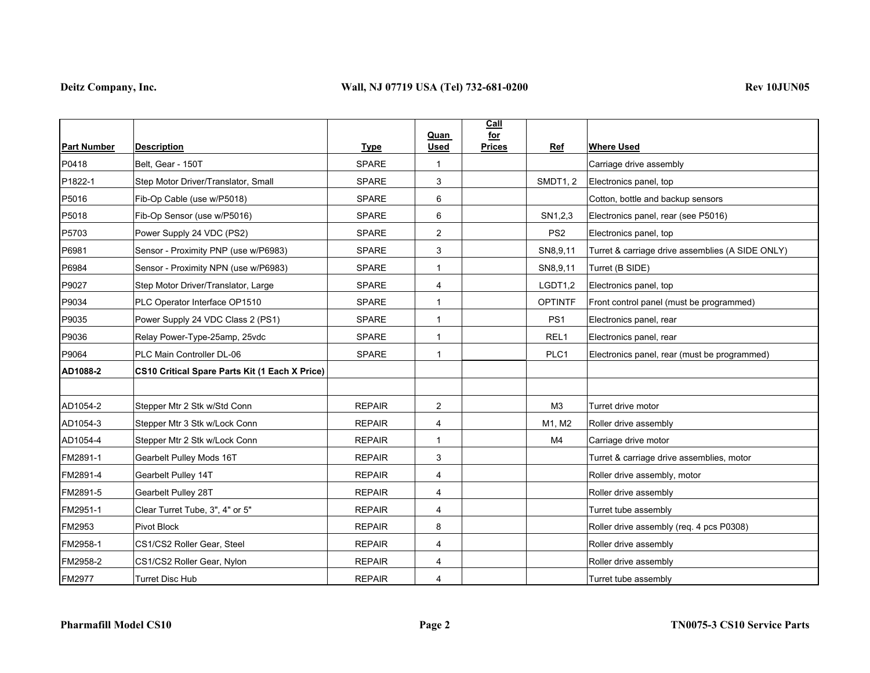|                    |                                                       |               | Quan           | <b>Call</b><br>for   |                                                  |
|--------------------|-------------------------------------------------------|---------------|----------------|----------------------|--------------------------------------------------|
| <b>Part Number</b> | <b>Description</b>                                    | <b>Type</b>   | <b>Used</b>    | Ref<br><b>Prices</b> | <b>Where Used</b>                                |
| P0418              | Belt, Gear - 150T                                     | <b>SPARE</b>  | $\mathbf{1}$   |                      | Carriage drive assembly                          |
| P1822-1            | Step Motor Driver/Translator, Small                   | <b>SPARE</b>  | 3              | <b>SMDT1, 2</b>      | Electronics panel, top                           |
| P5016              | Fib-Op Cable (use w/P5018)                            | <b>SPARE</b>  | 6              |                      | Cotton, bottle and backup sensors                |
| P5018              | Fib-Op Sensor (use w/P5016)                           | <b>SPARE</b>  | 6              | SN1,2,3              | Electronics panel, rear (see P5016)              |
| P5703              | Power Supply 24 VDC (PS2)                             | <b>SPARE</b>  | $\overline{2}$ | PS <sub>2</sub>      | Electronics panel, top                           |
| P6981              | Sensor - Proximity PNP (use w/P6983)                  | <b>SPARE</b>  | 3              | SN8,9,11             | Turret & carriage drive assemblies (A SIDE ONLY) |
| P6984              | Sensor - Proximity NPN (use w/P6983)                  | <b>SPARE</b>  | $\mathbf 1$    | SN8,9,11             | Turret (B SIDE)                                  |
| P9027              | Step Motor Driver/Translator, Large                   | <b>SPARE</b>  | 4              | LGDT1,2              | Electronics panel, top                           |
| P9034              | PLC Operator Interface OP1510                         | <b>SPARE</b>  | -1             | <b>OPTINTF</b>       | Front control panel (must be programmed)         |
| P9035              | Power Supply 24 VDC Class 2 (PS1)                     | <b>SPARE</b>  | $\mathbf{1}$   | PS <sub>1</sub>      | Electronics panel, rear                          |
| P9036              | Relay Power-Type-25amp, 25vdc                         | <b>SPARE</b>  | $\mathbf{1}$   | REL <sub>1</sub>     | Electronics panel, rear                          |
| P9064              | PLC Main Controller DL-06                             | <b>SPARE</b>  | $\mathbf{1}$   | PLC1                 | Electronics panel, rear (must be programmed)     |
| AD1088-2           | <b>CS10 Critical Spare Parts Kit (1 Each X Price)</b> |               |                |                      |                                                  |
|                    |                                                       |               |                |                      |                                                  |
| AD1054-2           | Stepper Mtr 2 Stk w/Std Conn                          | <b>REPAIR</b> | $\overline{2}$ | M <sub>3</sub>       | Turret drive motor                               |
| AD1054-3           | Stepper Mtr 3 Stk w/Lock Conn                         | <b>REPAIR</b> | 4              | M1, M2               | Roller drive assembly                            |
| AD1054-4           | Stepper Mtr 2 Stk w/Lock Conn                         | <b>REPAIR</b> | $\mathbf{1}$   | M <sub>4</sub>       | Carriage drive motor                             |
| FM2891-1           | Gearbelt Pulley Mods 16T                              | <b>REPAIR</b> | 3              |                      | Turret & carriage drive assemblies, motor        |
| FM2891-4           | Gearbelt Pulley 14T                                   | <b>REPAIR</b> | 4              |                      | Roller drive assembly, motor                     |
| FM2891-5           | Gearbelt Pulley 28T                                   | <b>REPAIR</b> | 4              |                      | Roller drive assembly                            |
| FM2951-1           | Clear Turret Tube, 3", 4" or 5"                       | <b>REPAIR</b> | 4              |                      | Turret tube assembly                             |
| FM2953             | Pivot Block                                           | <b>REPAIR</b> | 8              |                      | Roller drive assembly (req. 4 pcs P0308)         |
| FM2958-1           | CS1/CS2 Roller Gear, Steel                            | <b>REPAIR</b> | 4              |                      | Roller drive assembly                            |
| FM2958-2           | CS1/CS2 Roller Gear, Nylon                            | <b>REPAIR</b> | 4              |                      | Roller drive assembly                            |
| FM2977             | <b>Turret Disc Hub</b>                                | <b>REPAIR</b> | 4              |                      | Turret tube assembly                             |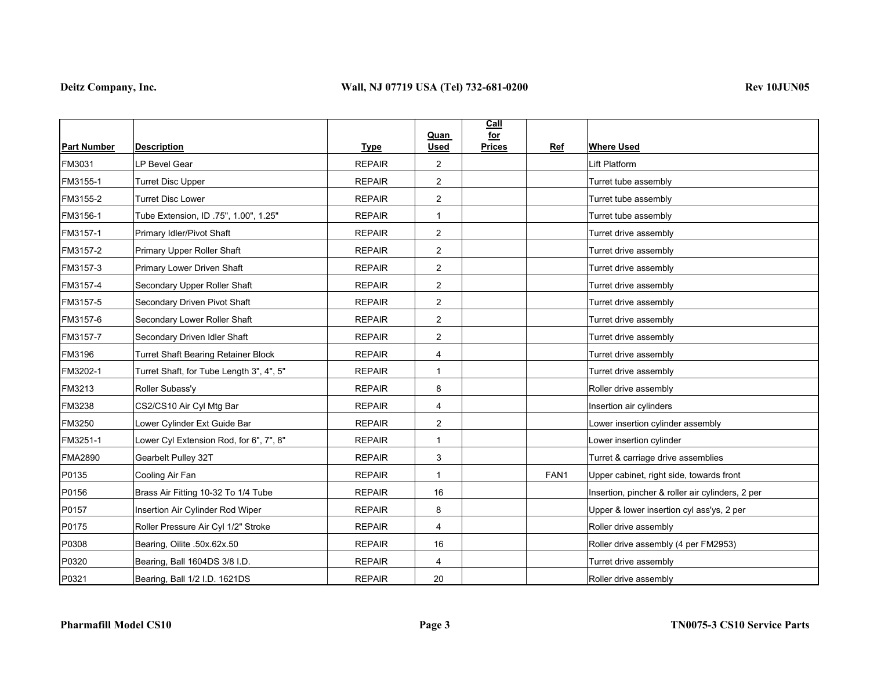|                    |                                            |               | Quan                    | Call<br>for   |      |                                                  |
|--------------------|--------------------------------------------|---------------|-------------------------|---------------|------|--------------------------------------------------|
| <b>Part Number</b> | <b>Description</b>                         | <b>Type</b>   | <b>Used</b>             | <b>Prices</b> | Ref  | <b>Where Used</b>                                |
| FM3031             | LP Bevel Gear                              | <b>REPAIR</b> | $\overline{2}$          |               |      | Lift Platform                                    |
| FM3155-1           | <b>Turret Disc Upper</b>                   | <b>REPAIR</b> | $\overline{2}$          |               |      | Turret tube assembly                             |
| FM3155-2           | <b>Turret Disc Lower</b>                   | <b>REPAIR</b> | $\overline{2}$          |               |      | Turret tube assembly                             |
| FM3156-1           | Tube Extension, ID .75", 1.00", 1.25"      | <b>REPAIR</b> | $\mathbf 1$             |               |      | Turret tube assembly                             |
| FM3157-1           | Primary Idler/Pivot Shaft                  | <b>REPAIR</b> | $\overline{2}$          |               |      | Turret drive assembly                            |
| FM3157-2           | Primary Upper Roller Shaft                 | <b>REPAIR</b> | $\overline{2}$          |               |      | Turret drive assembly                            |
| FM3157-3           | Primary Lower Driven Shaft                 | <b>REPAIR</b> | $\overline{2}$          |               |      | Turret drive assembly                            |
| FM3157-4           | Secondary Upper Roller Shaft               | <b>REPAIR</b> | $\overline{\mathbf{c}}$ |               |      | Turret drive assembly                            |
| FM3157-5           | Secondary Driven Pivot Shaft               | <b>REPAIR</b> | $\overline{2}$          |               |      | Turret drive assembly                            |
| FM3157-6           | Secondary Lower Roller Shaft               | <b>REPAIR</b> | $\overline{c}$          |               |      | Turret drive assembly                            |
| FM3157-7           | Secondary Driven Idler Shaft               | <b>REPAIR</b> | $\overline{2}$          |               |      | Turret drive assembly                            |
| FM3196             | <b>Turret Shaft Bearing Retainer Block</b> | <b>REPAIR</b> | 4                       |               |      | Turret drive assembly                            |
| FM3202-1           | Turret Shaft, for Tube Length 3", 4", 5"   | <b>REPAIR</b> | $\mathbf{1}$            |               |      | Turret drive assembly                            |
| FM3213             | Roller Subass'y                            | <b>REPAIR</b> | 8                       |               |      | Roller drive assembly                            |
| FM3238             | CS2/CS10 Air Cyl Mtg Bar                   | <b>REPAIR</b> | 4                       |               |      | Insertion air cylinders                          |
| FM3250             | Lower Cylinder Ext Guide Bar               | <b>REPAIR</b> | $\overline{c}$          |               |      | Lower insertion cylinder assembly                |
| FM3251-1           | Lower Cyl Extension Rod, for 6", 7", 8"    | <b>REPAIR</b> | $\mathbf{1}$            |               |      | Lower insertion cylinder                         |
| <b>FMA2890</b>     | Gearbelt Pulley 32T                        | <b>REPAIR</b> | 3                       |               |      | Turret & carriage drive assemblies               |
| P0135              | Cooling Air Fan                            | <b>REPAIR</b> | $\mathbf{1}$            |               | FAN1 | Upper cabinet, right side, towards front         |
| P0156              | Brass Air Fitting 10-32 To 1/4 Tube        | <b>REPAIR</b> | 16                      |               |      | Insertion, pincher & roller air cylinders, 2 per |
| P0157              | Insertion Air Cylinder Rod Wiper           | <b>REPAIR</b> | 8                       |               |      | Upper & lower insertion cyl ass'ys, 2 per        |
| P0175              | Roller Pressure Air Cyl 1/2" Stroke        | <b>REPAIR</b> | 4                       |               |      | Roller drive assembly                            |
| P0308              | Bearing, Oilite .50x.62x.50                | <b>REPAIR</b> | 16                      |               |      | Roller drive assembly (4 per FM2953)             |
| P0320              | Bearing, Ball 1604DS 3/8 I.D.              | <b>REPAIR</b> | 4                       |               |      | Turret drive assembly                            |
| P0321              | Bearing, Ball 1/2 I.D. 1621DS              | <b>REPAIR</b> | 20                      |               |      | Roller drive assembly                            |